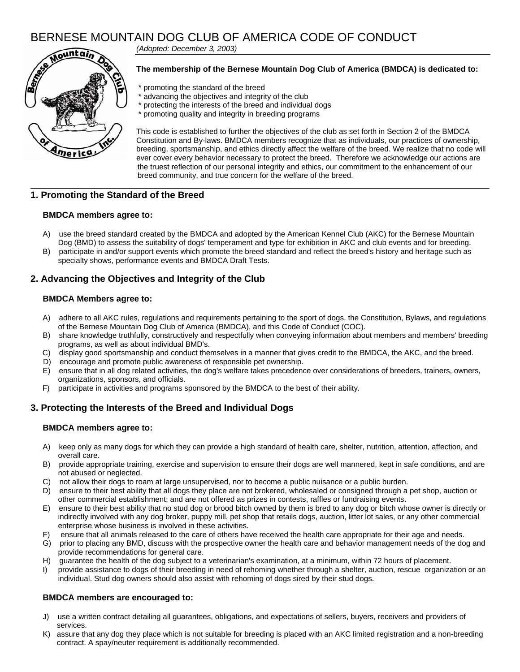# BERNESE MOUNTAIN DOG CLUB OF AMERICA CODE OF CONDUCT



*(Adopted: December 3, 2003)*

#### **The membership of the Bernese Mountain Dog Club of America (BMDCA) is dedicated to:**

- \* promoting the standard of the breed
- \* advancing the objectives and integrity of the club
- \* protecting the interests of the breed and individual dogs
- \* promoting quality and integrity in breeding programs

This code is established to further the objectives of the club as set forth in Section 2 of the BMDCA Constitution and By-laws. BMDCA members recognize that as individuals, our practices of ownership, breeding, sportsmanship, and ethics directly affect the welfare of the breed. We realize that no code will ever cover every behavior necessary to protect the breed. Therefore we acknowledge our actions are the truest reflection of our personal integrity and ethics, our commitment to the enhancement of our breed community, and true concern for the welfare of the breed.

### **1. Promoting the Standard of the Breed**

#### **BMDCA members agree to:**

- A) use the breed standard created by the BMDCA and adopted by the American Kennel Club (AKC) for the Bernese Mountain Dog (BMD) to assess the suitability of dogs' temperament and type for exhibition in AKC and club events and for breeding.
- B) participate in and/or support events which promote the breed standard and reflect the breed's history and heritage such as specialty shows, performance events and BMDCA Draft Tests.

### **2. Advancing the Objectives and Integrity of the Club**

#### **BMDCA Members agree to:**

- A) adhere to all AKC rules, regulations and requirements pertaining to the sport of dogs, the Constitution, Bylaws, and regulations of the Bernese Mountain Dog Club of America (BMDCA), and this Code of Conduct (COC).
- B) share knowledge truthfully, constructively and respectfully when conveying information about members and members' breeding programs, as well as about individual BMD's.
- C) display good sportsmanship and conduct themselves in a manner that gives credit to the BMDCA, the AKC, and the breed.
- D) encourage and promote public awareness of responsible pet ownership.
- E) ensure that in all dog related activities, the dog's welfare takes precedence over considerations of breeders, trainers, owners, organizations, sponsors, and officials.
- F) participate in activities and programs sponsored by the BMDCA to the best of their ability.

### **3. Protecting the Interests of the Breed and Individual Dogs**

#### **BMDCA members agree to:**

- A) keep only as many dogs for which they can provide a high standard of health care, shelter, nutrition, attention, affection, and overall care.
- B) provide appropriate training, exercise and supervision to ensure their dogs are well mannered, kept in safe conditions, and are not abused or neglected.
- C) not allow their dogs to roam at large unsupervised, nor to become a public nuisance or a public burden.
- D) ensure to their best ability that all dogs they place are not brokered, wholesaled or consigned through a pet shop, auction or other commercial establishment; and are not offered as prizes in contests, raffles or fundraising events.
- E) ensure to their best ability that no stud dog or brood bitch owned by them is bred to any dog or bitch whose owner is directly or indirectly involved with any dog broker, puppy mill, pet shop that retails dogs, auction, litter lot sales, or any other commercial enterprise whose business is involved in these activities.
- F) ensure that all animals released to the care of others have received the health care appropriate for their age and needs.
- G) prior to placing any BMD, discuss with the prospective owner the health care and behavior management needs of the dog and provide recommendations for general care.
- H) guarantee the health of the dog subject to a veterinarian's examination, at a minimum, within 72 hours of placement.
- provide assistance to dogs of their breeding in need of rehoming whether through a shelter, auction, rescue organization or an individual. Stud dog owners should also assist with rehoming of dogs sired by their stud dogs.

#### **BMDCA members are encouraged to:**

- J) use a written contract detailing all guarantees, obligations, and expectations of sellers, buyers, receivers and providers of services.
- K) assure that any dog they place which is not suitable for breeding is placed with an AKC limited registration and a non-breeding contract. A spay/neuter requirement is additionally recommended.